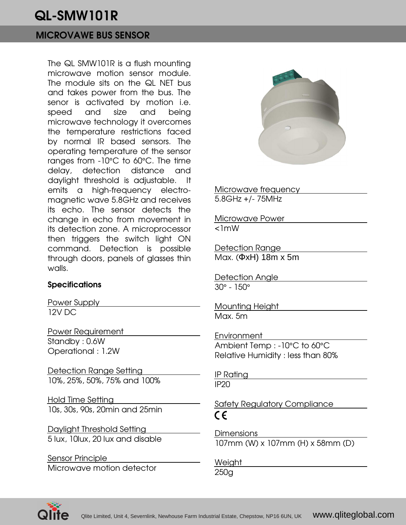# QL-SMW101R

## MICROVAWE BUS SENSOR

The QL SMW101R is a flush mounting microwave motion sensor module. The module sits on the QL NET bus and takes power from the bus. The senor is activated by motion i.e. speed and size and being microwave technology it overcomes the temperature restrictions faced by normal IR based sensors. The operating temperature of the sensor ranges from -10°C to 60°C. The time delay, detection distance and daylight threshold is adjustable. It emits a high-frequency electromagnetic wave 5.8GHz and receives its echo. The sensor detects the change in echo from movement in its detection zone. A microprocessor then triggers the switch light ON command. Detection is possible through doors, panels of glasses thin walls.

### **Specifications**

Power Supply 12V DC

Power Requirement Standby : 0.6W Operational : 1.2W

Detection Range Setting 10%, 25%, 50%, 75% and 100%

Hold Time Setting 10s, 30s, 90s, 20min and 25min

Daylight Threshold Setting 5 lux, 10lux, 20 lux and disable

Sensor Principle Microwave motion detector



Microwave frequency 5.8GHz +/- 75MHz

Microwave Power <1mW

Detection Range Max. (ΦxH) 18m x 5m

Detection Angle 30° - 150°

Mounting Height Max. 5m

Environment Ambient Temp : -10°C to 60°C Relative Humidity : less than 80%

IP Rating IP20

Safety Regulatory Compliance  $\epsilon$ 

**Dimensions** 107mm (W) x 107mm (H) x 58mm (D)

Weight 250g